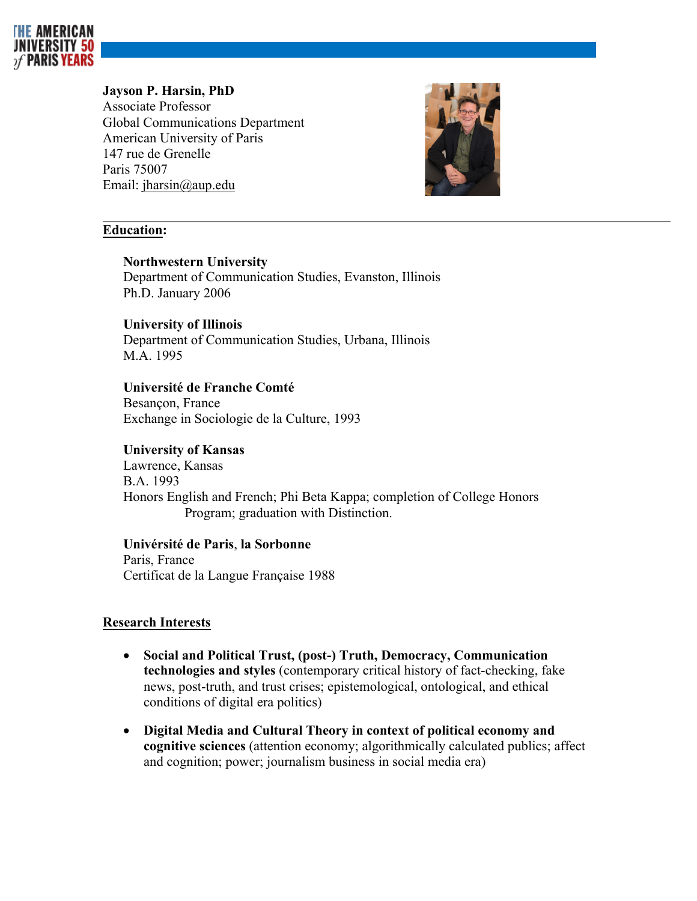

# **Jayson P. Harsin, PhD**

Associate Professor Global Communications Department American University of Paris 147 rue de Grenelle Paris 75007 Email: jharsin@aup.edu



# **Education:**

## **Northwestern University**

Department of Communication Studies, Evanston, Illinois Ph.D. January 2006

## **University of Illinois**

Department of Communication Studies, Urbana, Illinois M.A. 1995

## **Université de Franche Comté**

Besançon, France Exchange in Sociologie de la Culture, 1993

# **University of Kansas**

Lawrence, Kansas B.A. 1993 Honors English and French; Phi Beta Kappa; completion of College Honors Program; graduation with Distinction.

## **Univérsité de Paris**, **la Sorbonne**

Paris, France Certificat de la Langue Française 1988

# **Research Interests**

- **Social and Political Trust, (post-) Truth, Democracy, Communication technologies and styles** (contemporary critical history of fact-checking, fake news, post-truth, and trust crises; epistemological, ontological, and ethical conditions of digital era politics)
- **Digital Media and Cultural Theory in context of political economy and cognitive sciences** (attention economy; algorithmically calculated publics; affect and cognition; power; journalism business in social media era)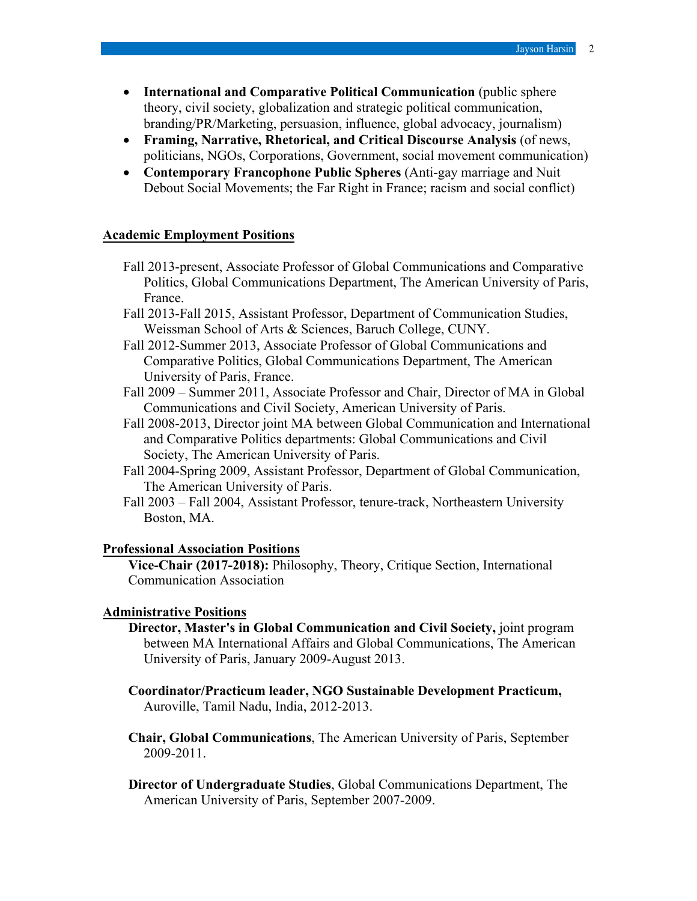- **International and Comparative Political Communication** (public sphere theory, civil society, globalization and strategic political communication, branding/PR/Marketing, persuasion, influence, global advocacy, journalism)
- **Framing, Narrative, Rhetorical, and Critical Discourse Analysis** (of news, politicians, NGOs, Corporations, Government, social movement communication)
- **Contemporary Francophone Public Spheres** (Anti-gay marriage and Nuit Debout Social Movements; the Far Right in France; racism and social conflict)

#### **Academic Employment Positions**

- Fall 2013-present, Associate Professor of Global Communications and Comparative Politics, Global Communications Department, The American University of Paris, France.
- Fall 2013-Fall 2015, Assistant Professor, Department of Communication Studies, Weissman School of Arts & Sciences, Baruch College, CUNY.
- Fall 2012-Summer 2013, Associate Professor of Global Communications and Comparative Politics, Global Communications Department, The American University of Paris, France.
- Fall 2009 Summer 2011, Associate Professor and Chair, Director of MA in Global Communications and Civil Society, American University of Paris.
- Fall 2008-2013, Director joint MA between Global Communication and International and Comparative Politics departments: Global Communications and Civil Society, The American University of Paris.
- Fall 2004-Spring 2009, Assistant Professor, Department of Global Communication, The American University of Paris.
- Fall 2003 Fall 2004, Assistant Professor, tenure-track, Northeastern University Boston, MA.

### **Professional Association Positions**

**Vice-Chair (2017-2018):** Philosophy, Theory, Critique Section, International Communication Association

### **Administrative Positions**

- **Director, Master's in Global Communication and Civil Society,** joint program between MA International Affairs and Global Communications, The American University of Paris, January 2009-August 2013.
- **Coordinator/Practicum leader, NGO Sustainable Development Practicum,**  Auroville, Tamil Nadu, India, 2012-2013.
- **Chair, Global Communications**, The American University of Paris, September 2009-2011.
- **Director of Undergraduate Studies**, Global Communications Department, The American University of Paris, September 2007-2009.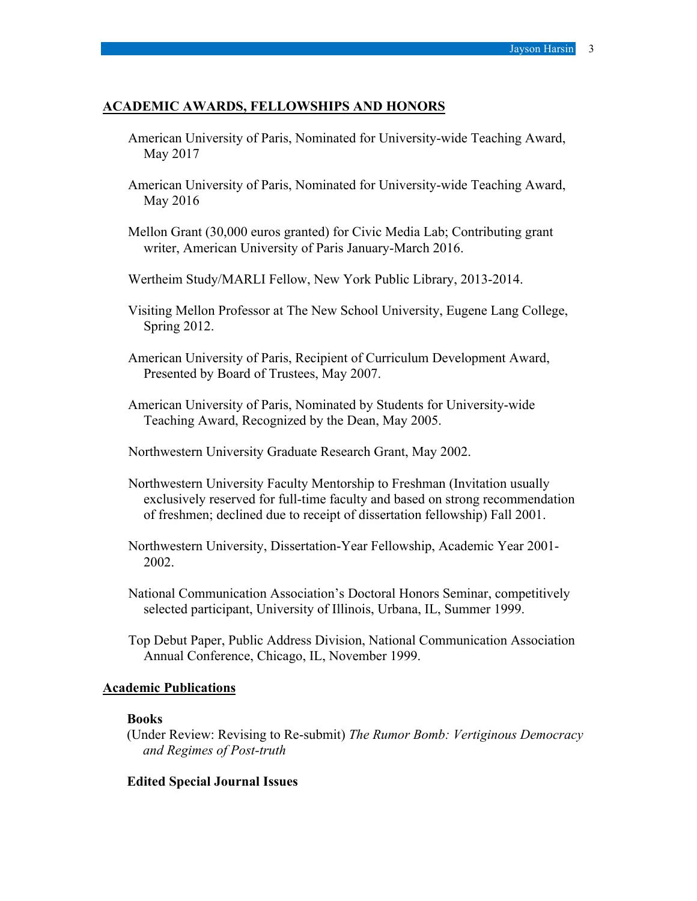### **ACADEMIC AWARDS, FELLOWSHIPS AND HONORS**

- American University of Paris, Nominated for University-wide Teaching Award, May 2017
- American University of Paris, Nominated for University-wide Teaching Award, May 2016
- Mellon Grant (30,000 euros granted) for Civic Media Lab; Contributing grant writer, American University of Paris January-March 2016.
- Wertheim Study/MARLI Fellow, New York Public Library, 2013-2014.
- Visiting Mellon Professor at The New School University, Eugene Lang College, Spring 2012.
- American University of Paris, Recipient of Curriculum Development Award, Presented by Board of Trustees, May 2007.
- American University of Paris, Nominated by Students for University-wide Teaching Award, Recognized by the Dean, May 2005.
- Northwestern University Graduate Research Grant, May 2002.
- Northwestern University Faculty Mentorship to Freshman (Invitation usually exclusively reserved for full-time faculty and based on strong recommendation of freshmen; declined due to receipt of dissertation fellowship) Fall 2001.
- Northwestern University, Dissertation-Year Fellowship, Academic Year 2001- 2002.
- National Communication Association's Doctoral Honors Seminar, competitively selected participant, University of Illinois, Urbana, IL, Summer 1999.
- Top Debut Paper, Public Address Division, National Communication Association Annual Conference, Chicago, IL, November 1999.

### **Academic Publications**

### **Books**

(Under Review: Revising to Re-submit) *The Rumor Bomb: Vertiginous Democracy and Regimes of Post-truth*

## **Edited Special Journal Issues**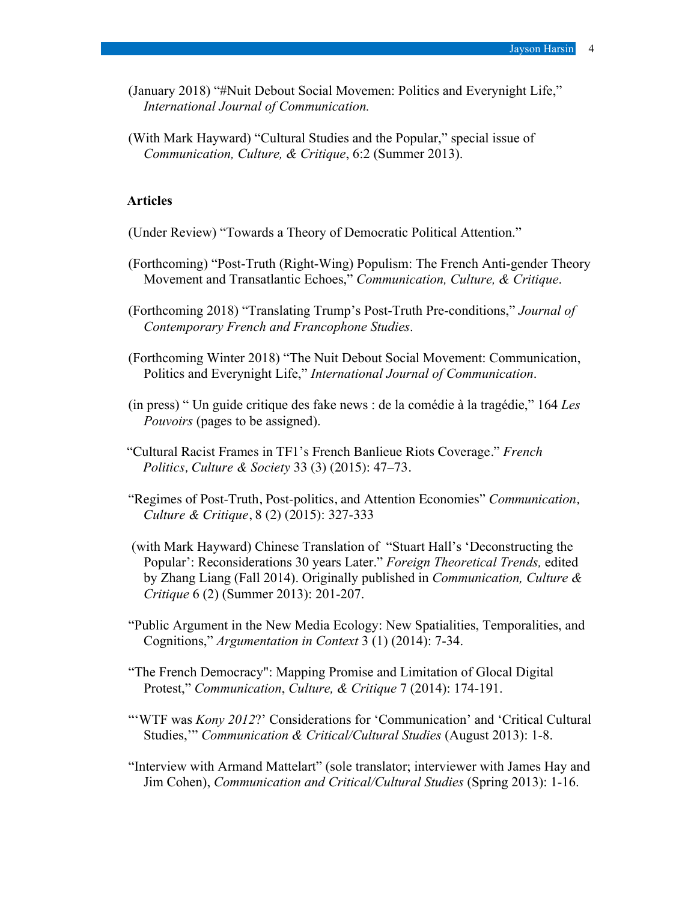- (January 2018) "#Nuit Debout Social Movemen: Politics and Everynight Life," *International Journal of Communication.*
- (With Mark Hayward) "Cultural Studies and the Popular," special issue of *Communication, Culture, & Critique*, 6:2 (Summer 2013).

### **Articles**

- (Under Review) "Towards a Theory of Democratic Political Attention."
- (Forthcoming) "Post-Truth (Right-Wing) Populism: The French Anti-gender Theory Movement and Transatlantic Echoes," *Communication, Culture, & Critique*.
- (Forthcoming 2018) "Translating Trump's Post-Truth Pre-conditions," *Journal of Contemporary French and Francophone Studies*.
- (Forthcoming Winter 2018) "The Nuit Debout Social Movement: Communication, Politics and Everynight Life," *International Journal of Communication*.
- (in press) " Un guide critique des fake news : de la comédie à la tragédie," 164 *Les Pouvoirs* (pages to be assigned).
- "Cultural Racist Frames in TF1's French Banlieue Riots Coverage." *French Politics, Culture & Society* 33 (3) (2015): 47–73.
- "Regimes of Post-Truth, Post-politics, and Attention Economies" *Communication, Culture & Critique*, 8 (2) (2015): 327-333
- (with Mark Hayward) Chinese Translation of "Stuart Hall's 'Deconstructing the Popular': Reconsiderations 30 years Later." *Foreign Theoretical Trends,* edited by Zhang Liang (Fall 2014). Originally published in *Communication, Culture & Critique* 6 (2) (Summer 2013): 201-207.
- "Public Argument in the New Media Ecology: New Spatialities, Temporalities, and Cognitions," *Argumentation in Context* 3 (1) (2014): 7-34.
- "The French Democracy": Mapping Promise and Limitation of Glocal Digital Protest," *Communication*, *Culture, & Critique* 7 (2014): 174-191.
- "'WTF was *Kony 2012*?' Considerations for 'Communication' and 'Critical Cultural Studies,'" *Communication & Critical/Cultural Studies* (August 2013): 1-8.
- "Interview with Armand Mattelart" (sole translator; interviewer with James Hay and Jim Cohen), *Communication and Critical/Cultural Studies* (Spring 2013): 1-16.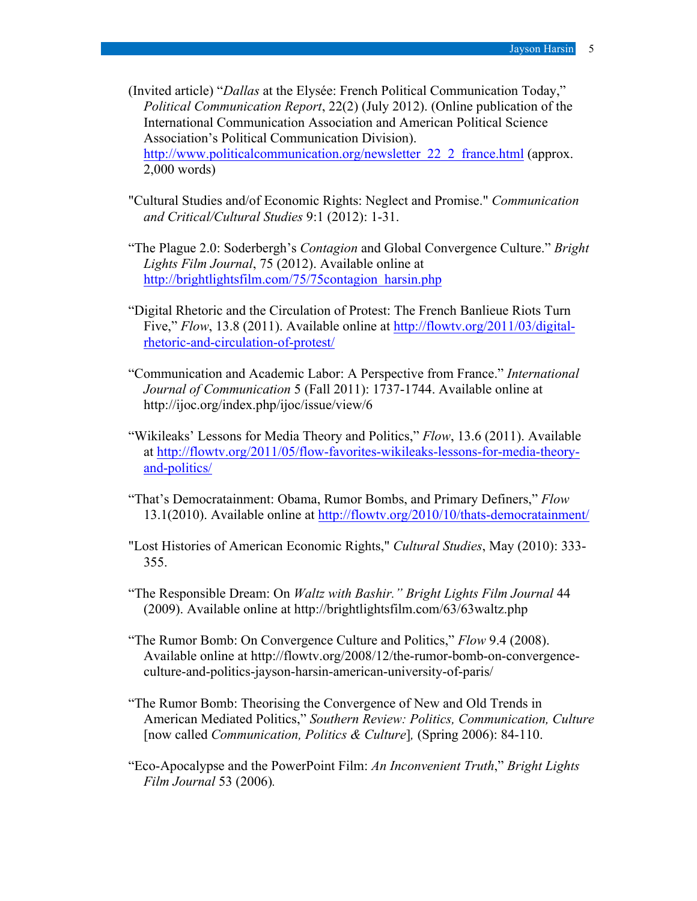(Invited article) "*Dallas* at the Elysée: French Political Communication Today," *Political Communication Report*, 22(2) (July 2012). (Online publication of the International Communication Association and American Political Science Association's Political Communication Division). http://www.politicalcommunication.org/newsletter 22\_2\_france.html (approx. 2,000 words)

- "Cultural Studies and/of Economic Rights: Neglect and Promise." *Communication and Critical/Cultural Studies* 9:1 (2012): 1-31.
- "The Plague 2.0: Soderbergh's *Contagion* and Global Convergence Culture." *Bright Lights Film Journal*, 75 (2012). Available online at http://brightlightsfilm.com/75/75contagion\_harsin.php
- "Digital Rhetoric and the Circulation of Protest: The French Banlieue Riots Turn Five," *Flow*, 13.8 (2011). Available online at http://flowtv.org/2011/03/digitalrhetoric-and-circulation-of-protest/
- "Communication and Academic Labor: A Perspective from France." *International Journal of Communication* 5 (Fall 2011): 1737-1744. Available online at http://ijoc.org/index.php/ijoc/issue/view/6
- "Wikileaks' Lessons for Media Theory and Politics," *Flow*, 13.6 (2011). Available at http://flowtv.org/2011/05/flow-favorites-wikileaks-lessons-for-media-theoryand-politics/
- "That's Democratainment: Obama, Rumor Bombs, and Primary Definers," *Flow* 13.1(2010). Available online at http://flowtv.org/2010/10/thats-democratainment/
- "Lost Histories of American Economic Rights," *Cultural Studies*, May (2010): 333- 355.
- "The Responsible Dream: On *Waltz with Bashir." Bright Lights Film Journal* 44 (2009). Available online at http://brightlightsfilm.com/63/63waltz.php
- "The Rumor Bomb: On Convergence Culture and Politics," *Flow* 9.4 (2008). Available online at http://flowtv.org/2008/12/the-rumor-bomb-on-convergenceculture-and-politics-jayson-harsin-american-university-of-paris/
- "The Rumor Bomb: Theorising the Convergence of New and Old Trends in American Mediated Politics," *Southern Review: Politics, Communication, Culture* [now called *Communication, Politics & Culture*]*,* (Spring 2006): 84-110.
- "Eco-Apocalypse and the PowerPoint Film: *An Inconvenient Truth*," *Bright Lights Film Journal* 53 (2006)*.*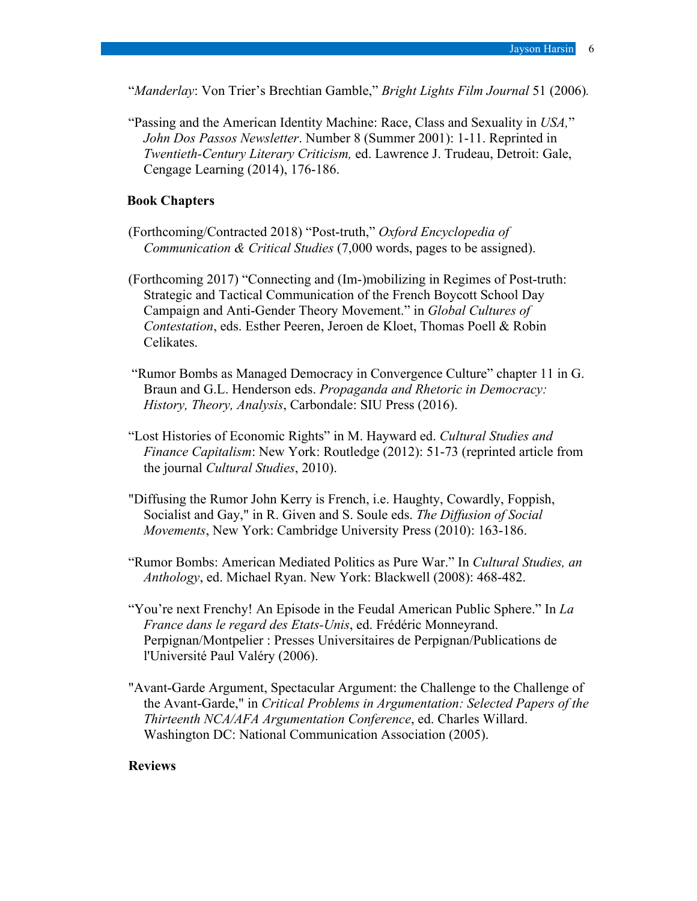"*Manderlay*: Von Trier's Brechtian Gamble," *Bright Lights Film Journal* 51 (2006)*.* 

"Passing and the American Identity Machine: Race, Class and Sexuality in *USA,*" *John Dos Passos Newsletter*. Number 8 (Summer 2001): 1-11. Reprinted in *Twentieth-Century Literary Criticism,* ed. Lawrence J. Trudeau, Detroit: Gale, Cengage Learning (2014), 176-186.

## **Book Chapters**

- (Forthcoming/Contracted 2018) "Post-truth," *Oxford Encyclopedia of Communication & Critical Studies* (7,000 words, pages to be assigned).
- (Forthcoming 2017) "Connecting and (Im-)mobilizing in Regimes of Post-truth: Strategic and Tactical Communication of the French Boycott School Day Campaign and Anti-Gender Theory Movement." in *Global Cultures of Contestation*, eds. Esther Peeren, Jeroen de Kloet, Thomas Poell & Robin Celikates.
- "Rumor Bombs as Managed Democracy in Convergence Culture" chapter 11 in G. Braun and G.L. Henderson eds. *Propaganda and Rhetoric in Democracy: History, Theory, Analysis*, Carbondale: SIU Press (2016).
- "Lost Histories of Economic Rights" in M. Hayward ed. *Cultural Studies and Finance Capitalism*: New York: Routledge (2012): 51-73 (reprinted article from the journal *Cultural Studies*, 2010).
- "Diffusing the Rumor John Kerry is French, i.e. Haughty, Cowardly, Foppish, Socialist and Gay," in R. Given and S. Soule eds. *The Diffusion of Social Movements*, New York: Cambridge University Press (2010): 163-186.
- "Rumor Bombs: American Mediated Politics as Pure War." In *Cultural Studies, an Anthology*, ed. Michael Ryan. New York: Blackwell (2008): 468-482.
- "You're next Frenchy! An Episode in the Feudal American Public Sphere." In *La France dans le regard des Etats-Unis*, ed. Frédéric Monneyrand. Perpignan/Montpelier : Presses Universitaires de Perpignan/Publications de l'Université Paul Valéry (2006).
- "Avant-Garde Argument, Spectacular Argument: the Challenge to the Challenge of the Avant-Garde," in *Critical Problems in Argumentation: Selected Papers of the Thirteenth NCA/AFA Argumentation Conference*, ed. Charles Willard. Washington DC: National Communication Association (2005).

### **Reviews**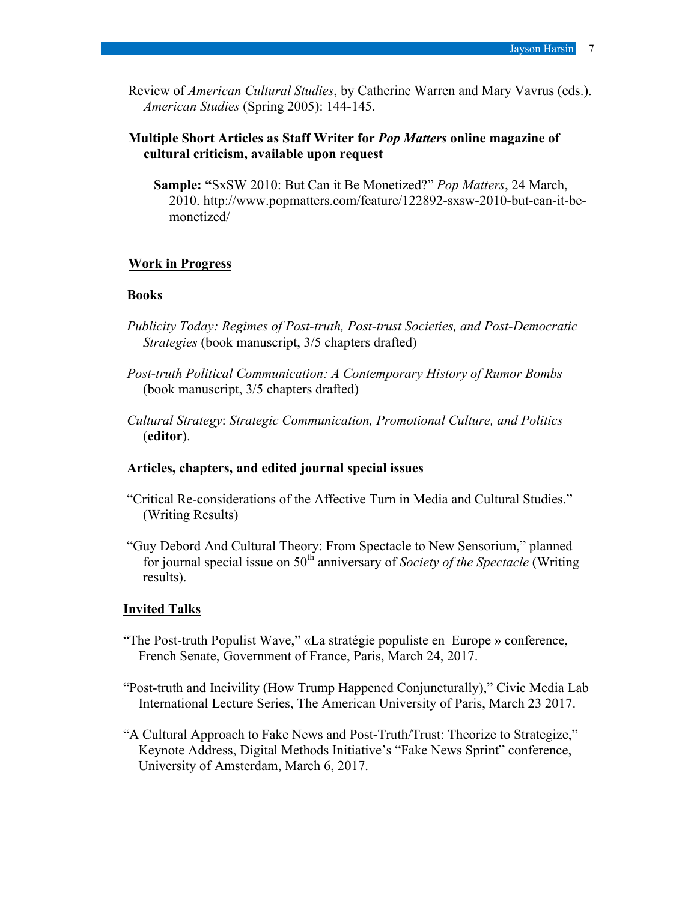Review of *American Cultural Studies*, by Catherine Warren and Mary Vavrus (eds.). *American Studies* (Spring 2005): 144-145.

## **Multiple Short Articles as Staff Writer for** *Pop Matters* **online magazine of cultural criticism, available upon request**

**Sample: "**SxSW 2010: But Can it Be Monetized?" *Pop Matters*, 24 March, 2010. http://www.popmatters.com/feature/122892-sxsw-2010-but-can-it-bemonetized/

### **Work in Progress**

#### **Books**

- *Publicity Today: Regimes of Post-truth, Post-trust Societies, and Post-Democratic Strategies* (book manuscript, 3/5 chapters drafted)
- *Post-truth Political Communication: A Contemporary History of Rumor Bombs* (book manuscript, 3/5 chapters drafted)
- *Cultural Strategy*: *Strategic Communication, Promotional Culture, and Politics*  (**editor**).

### **Articles, chapters, and edited journal special issues**

- "Critical Re-considerations of the Affective Turn in Media and Cultural Studies." (Writing Results)
- "Guy Debord And Cultural Theory: From Spectacle to New Sensorium," planned for journal special issue on 50<sup>th</sup> anniversary of *Society of the Spectacle* (Writing results).

#### **Invited Talks**

- "The Post-truth Populist Wave," «La stratégie populiste en Europe » conference, French Senate, Government of France, Paris, March 24, 2017.
- "Post-truth and Incivility (How Trump Happened Conjuncturally)," Civic Media Lab International Lecture Series, The American University of Paris, March 23 2017.
- "A Cultural Approach to Fake News and Post-Truth/Trust: Theorize to Strategize," Keynote Address, Digital Methods Initiative's "Fake News Sprint" conference, University of Amsterdam, March 6, 2017.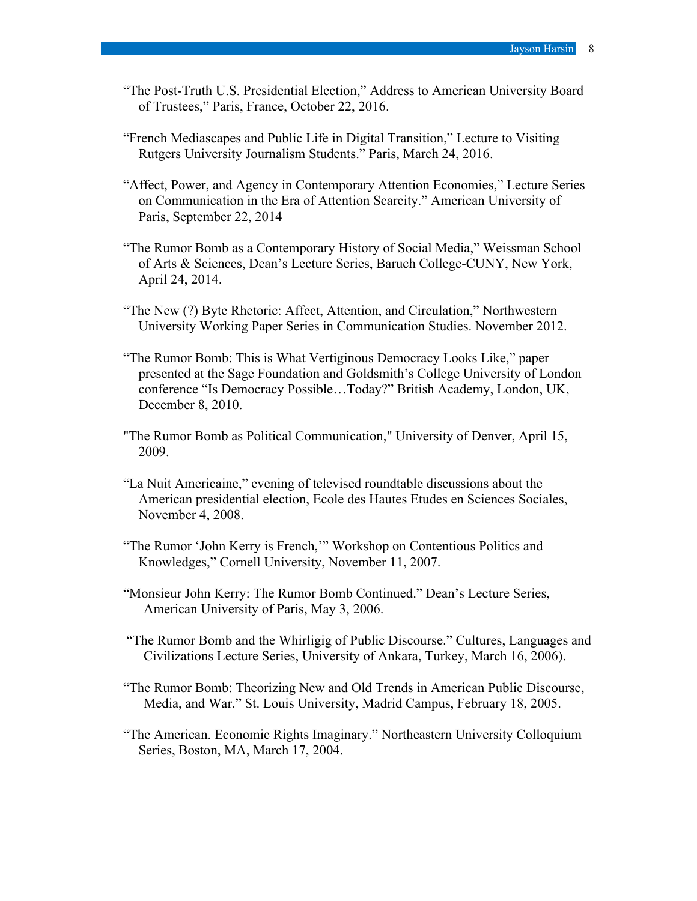- "The Post-Truth U.S. Presidential Election," Address to American University Board of Trustees," Paris, France, October 22, 2016.
- "French Mediascapes and Public Life in Digital Transition," Lecture to Visiting Rutgers University Journalism Students." Paris, March 24, 2016.
- "Affect, Power, and Agency in Contemporary Attention Economies," Lecture Series on Communication in the Era of Attention Scarcity." American University of Paris, September 22, 2014
- "The Rumor Bomb as a Contemporary History of Social Media," Weissman School of Arts & Sciences, Dean's Lecture Series, Baruch College-CUNY, New York, April 24, 2014.
- "The New (?) Byte Rhetoric: Affect, Attention, and Circulation," Northwestern University Working Paper Series in Communication Studies. November 2012.
- "The Rumor Bomb: This is What Vertiginous Democracy Looks Like," paper presented at the Sage Foundation and Goldsmith's College University of London conference "Is Democracy Possible…Today?" British Academy, London, UK, December 8, 2010.
- "The Rumor Bomb as Political Communication," University of Denver, April 15, 2009.
- "La Nuit Americaine," evening of televised roundtable discussions about the American presidential election, Ecole des Hautes Etudes en Sciences Sociales, November 4, 2008.
- "The Rumor 'John Kerry is French,'" Workshop on Contentious Politics and Knowledges," Cornell University, November 11, 2007.
- "Monsieur John Kerry: The Rumor Bomb Continued." Dean's Lecture Series, American University of Paris, May 3, 2006.
- "The Rumor Bomb and the Whirligig of Public Discourse." Cultures, Languages and Civilizations Lecture Series, University of Ankara, Turkey, March 16, 2006).
- "The Rumor Bomb: Theorizing New and Old Trends in American Public Discourse, Media, and War." St. Louis University, Madrid Campus, February 18, 2005.
- "The American. Economic Rights Imaginary." Northeastern University Colloquium Series, Boston, MA, March 17, 2004.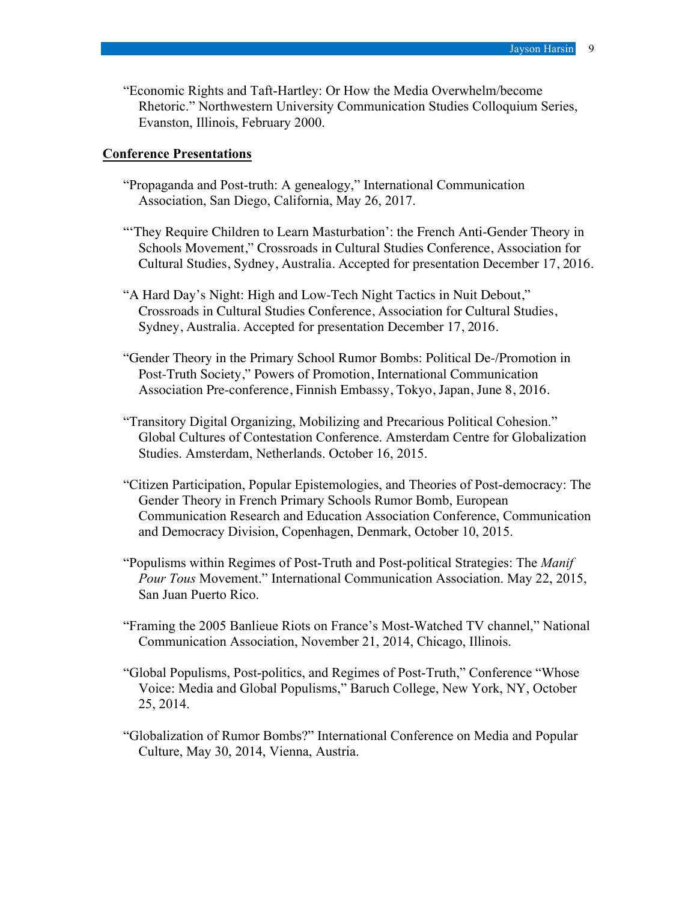"Economic Rights and Taft-Hartley: Or How the Media Overwhelm/become Rhetoric." Northwestern University Communication Studies Colloquium Series, Evanston, Illinois, February 2000.

#### **Conference Presentations**

- "Propaganda and Post-truth: A genealogy," International Communication Association, San Diego, California, May 26, 2017.
- "'They Require Children to Learn Masturbation': the French Anti-Gender Theory in Schools Movement," Crossroads in Cultural Studies Conference, Association for Cultural Studies, Sydney, Australia. Accepted for presentation December 17, 2016.
- "A Hard Day's Night: High and Low-Tech Night Tactics in Nuit Debout," Crossroads in Cultural Studies Conference, Association for Cultural Studies, Sydney, Australia. Accepted for presentation December 17, 2016.
- "Gender Theory in the Primary School Rumor Bombs: Political De-/Promotion in Post-Truth Society," Powers of Promotion, International Communication Association Pre-conference, Finnish Embassy, Tokyo, Japan, June 8, 2016.
- "Transitory Digital Organizing, Mobilizing and Precarious Political Cohesion." Global Cultures of Contestation Conference. Amsterdam Centre for Globalization Studies. Amsterdam, Netherlands. October 16, 2015.
- "Citizen Participation, Popular Epistemologies, and Theories of Post-democracy: The Gender Theory in French Primary Schools Rumor Bomb, European Communication Research and Education Association Conference, Communication and Democracy Division, Copenhagen, Denmark, October 10, 2015.
- "Populisms within Regimes of Post-Truth and Post-political Strategies: The *Manif Pour Tous* Movement." International Communication Association. May 22, 2015, San Juan Puerto Rico.
- "Framing the 2005 Banlieue Riots on France's Most-Watched TV channel," National Communication Association, November 21, 2014, Chicago, Illinois.
- "Global Populisms, Post-politics, and Regimes of Post-Truth," Conference "Whose Voice: Media and Global Populisms," Baruch College, New York, NY, October 25, 2014.
- "Globalization of Rumor Bombs?" International Conference on Media and Popular Culture, May 30, 2014, Vienna, Austria.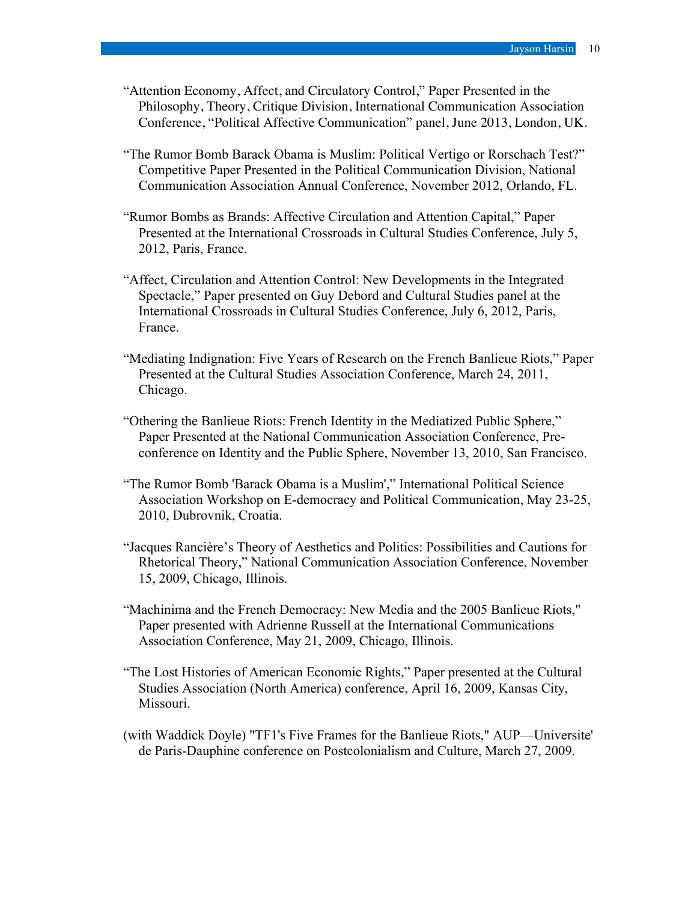- "Attention Economy, Affect, and Circulatory Control," Paper Presented in the Philosophy, Theory, Critique Division, International Communication Association Conference, "Political Affective Communication" panel, June 2013, London, UK.
- "The Rumor Bomb Barack Obama is Muslim: Political Vertigo or Rorschach Test?" Competitive Paper Presented in the Political Communication Division, National Communication Association Annual Conference, November 2012, Orlando, FL.
- "Rumor Bombs as Brands: Affective Circulation and Attention Capital," Paper Presented at the International Crossroads in Cultural Studies Conference, July 5, 2012, Paris, France.
- "Affect, Circulation and Attention Control: New Developments in the Integrated Spectacle," Paper presented on Guy Debord and Cultural Studies panel at the International Crossroads in Cultural Studies Conference, July 6, 2012, Paris, France.
- "Mediating Indignation: Five Years of Research on the French Banlieue Riots," Paper Presented at the Cultural Studies Association Conference, March 24, 2011, Chicago.
- "Othering the Banlieue Riots: French Identity in the Mediatized Public Sphere," Paper Presented at the National Communication Association Conference, Preconference on Identity and the Public Sphere, November 13, 2010, San Francisco.
- "The Rumor Bomb 'Barack Obama is a Muslim'," International Political Science Association Workshop on E-democracy and Political Communication, May 23-25, 2010, Dubrovnik, Croatia.
- "Jacques Rancière's Theory of Aesthetics and Politics: Possibilities and Cautions for Rhetorical Theory," National Communication Association Conference, November 15, 2009, Chicago, Illinois.
- "Machinima and the French Democracy: New Media and the 2005 Banlieue Riots," Paper presented with Adrienne Russell at the International Communications Association Conference, May 21, 2009, Chicago, Illinois.
- "The Lost Histories of American Economic Rights," Paper presented at the Cultural Studies Association (North America) conference, April 16, 2009, Kansas City, Missouri.
- (with Waddick Doyle) "TF1's Five Frames for the Banlieue Riots," AUP—Universite' de Paris-Dauphine conference on Postcolonialism and Culture, March 27, 2009.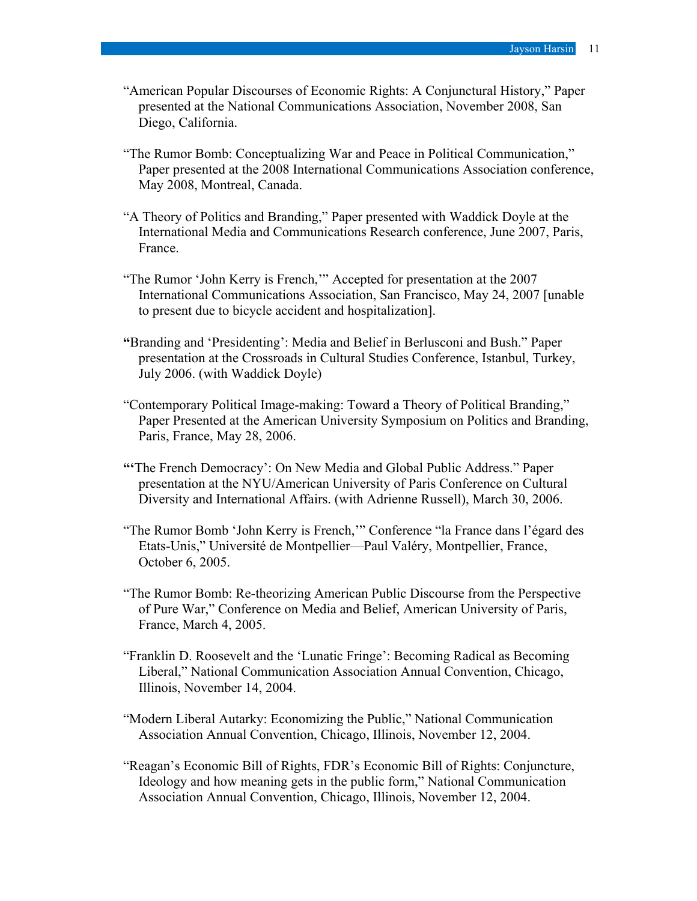- "American Popular Discourses of Economic Rights: A Conjunctural History," Paper presented at the National Communications Association, November 2008, San Diego, California.
- "The Rumor Bomb: Conceptualizing War and Peace in Political Communication," Paper presented at the 2008 International Communications Association conference, May 2008, Montreal, Canada.
- "A Theory of Politics and Branding," Paper presented with Waddick Doyle at the International Media and Communications Research conference, June 2007, Paris, France.
- "The Rumor 'John Kerry is French,'" Accepted for presentation at the 2007 International Communications Association, San Francisco, May 24, 2007 [unable to present due to bicycle accident and hospitalization].
- **"**Branding and 'Presidenting': Media and Belief in Berlusconi and Bush." Paper presentation at the Crossroads in Cultural Studies Conference, Istanbul, Turkey, July 2006. (with Waddick Doyle)
- "Contemporary Political Image-making: Toward a Theory of Political Branding," Paper Presented at the American University Symposium on Politics and Branding, Paris, France, May 28, 2006.
- **"'**The French Democracy': On New Media and Global Public Address." Paper presentation at the NYU/American University of Paris Conference on Cultural Diversity and International Affairs. (with Adrienne Russell), March 30, 2006.
- "The Rumor Bomb 'John Kerry is French,'" Conference "la France dans l'égard des Etats-Unis," Université de Montpellier—Paul Valéry, Montpellier, France, October 6, 2005.
- "The Rumor Bomb: Re-theorizing American Public Discourse from the Perspective of Pure War," Conference on Media and Belief, American University of Paris, France, March 4, 2005.
- "Franklin D. Roosevelt and the 'Lunatic Fringe': Becoming Radical as Becoming Liberal," National Communication Association Annual Convention, Chicago, Illinois, November 14, 2004.
- "Modern Liberal Autarky: Economizing the Public," National Communication Association Annual Convention, Chicago, Illinois, November 12, 2004.
- "Reagan's Economic Bill of Rights, FDR's Economic Bill of Rights: Conjuncture, Ideology and how meaning gets in the public form," National Communication Association Annual Convention, Chicago, Illinois, November 12, 2004.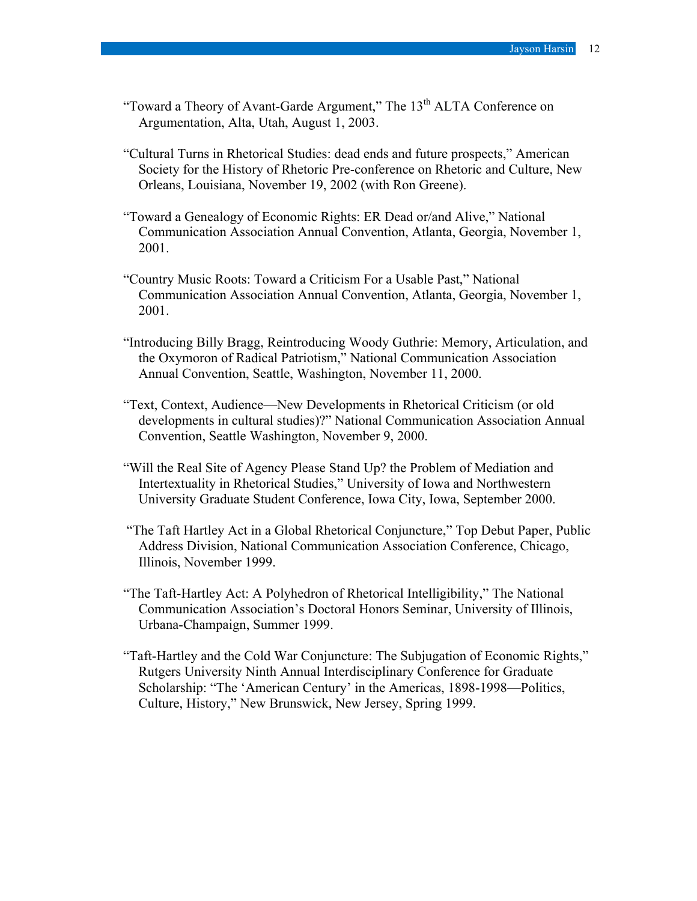- "Toward a Theory of Avant-Garde Argument," The  $13<sup>th</sup> ALTA$  Conference on Argumentation, Alta, Utah, August 1, 2003.
- "Cultural Turns in Rhetorical Studies: dead ends and future prospects," American Society for the History of Rhetoric Pre-conference on Rhetoric and Culture, New Orleans, Louisiana, November 19, 2002 (with Ron Greene).
- "Toward a Genealogy of Economic Rights: ER Dead or/and Alive," National Communication Association Annual Convention, Atlanta, Georgia, November 1, 2001.
- "Country Music Roots: Toward a Criticism For a Usable Past," National Communication Association Annual Convention, Atlanta, Georgia, November 1, 2001.
- "Introducing Billy Bragg, Reintroducing Woody Guthrie: Memory, Articulation, and the Oxymoron of Radical Patriotism," National Communication Association Annual Convention, Seattle, Washington, November 11, 2000.
- "Text, Context, Audience—New Developments in Rhetorical Criticism (or old developments in cultural studies)?" National Communication Association Annual Convention, Seattle Washington, November 9, 2000.
- "Will the Real Site of Agency Please Stand Up? the Problem of Mediation and Intertextuality in Rhetorical Studies," University of Iowa and Northwestern University Graduate Student Conference, Iowa City, Iowa, September 2000.
- "The Taft Hartley Act in a Global Rhetorical Conjuncture," Top Debut Paper, Public Address Division, National Communication Association Conference, Chicago, Illinois, November 1999.
- "The Taft-Hartley Act: A Polyhedron of Rhetorical Intelligibility," The National Communication Association's Doctoral Honors Seminar, University of Illinois, Urbana-Champaign, Summer 1999.
- "Taft-Hartley and the Cold War Conjuncture: The Subjugation of Economic Rights," Rutgers University Ninth Annual Interdisciplinary Conference for Graduate Scholarship: "The 'American Century' in the Americas, 1898-1998—Politics, Culture, History," New Brunswick, New Jersey, Spring 1999.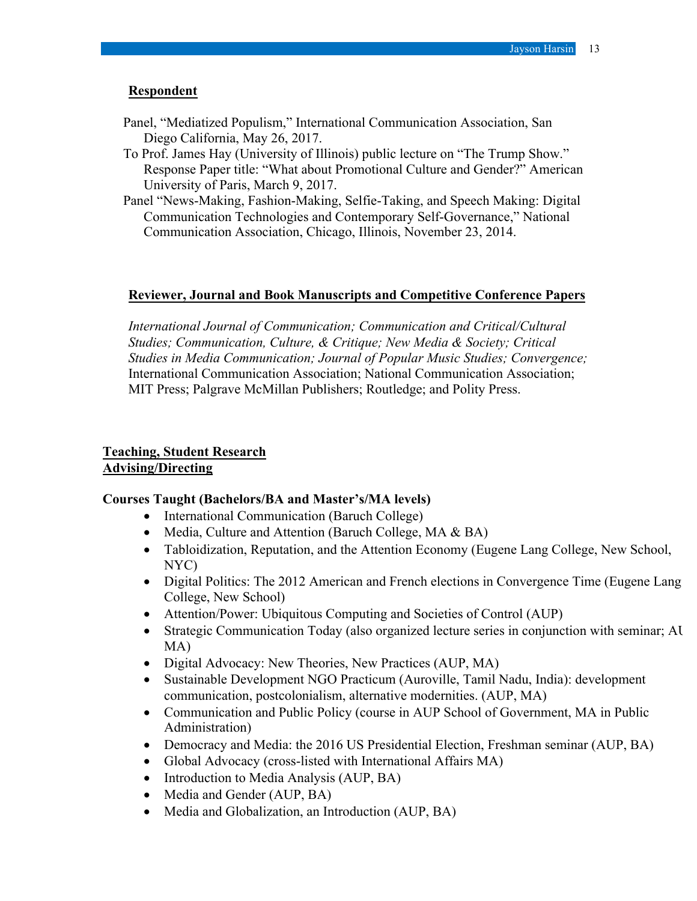## **Respondent**

- Panel, "Mediatized Populism," International Communication Association, San Diego California, May 26, 2017.
- To Prof. James Hay (University of Illinois) public lecture on "The Trump Show." Response Paper title: "What about Promotional Culture and Gender?" American University of Paris, March 9, 2017.
- Panel "News-Making, Fashion-Making, Selfie-Taking, and Speech Making: Digital Communication Technologies and Contemporary Self-Governance," National Communication Association, Chicago, Illinois, November 23, 2014.

### **Reviewer, Journal and Book Manuscripts and Competitive Conference Papers**

*International Journal of Communication; Communication and Critical/Cultural Studies; Communication, Culture, & Critique; New Media & Society; Critical Studies in Media Communication; Journal of Popular Music Studies; Convergence;* International Communication Association; National Communication Association; MIT Press; Palgrave McMillan Publishers; Routledge; and Polity Press.

## **Teaching, Student Research Advising/Directing**

#### **Courses Taught (Bachelors/BA and Master's/MA levels)**

- International Communication (Baruch College)
- Media, Culture and Attention (Baruch College, MA & BA)
- Tabloidization, Reputation, and the Attention Economy (Eugene Lang College, New School, NYC)
- Digital Politics: The 2012 American and French elections in Convergence Time (Eugene Lang College, New School)
- Attention/Power: Ubiquitous Computing and Societies of Control (AUP)
- Strategic Communication Today (also organized lecture series in conjunction with seminar; AU MA)
- Digital Advocacy: New Theories, New Practices (AUP, MA)
- Sustainable Development NGO Practicum (Auroville, Tamil Nadu, India): development communication, postcolonialism, alternative modernities. (AUP, MA)
- Communication and Public Policy (course in AUP School of Government, MA in Public Administration)
- Democracy and Media: the 2016 US Presidential Election, Freshman seminar (AUP, BA)
- Global Advocacy (cross-listed with International Affairs MA)
- Introduction to Media Analysis (AUP, BA)
- Media and Gender (AUP, BA)
- Media and Globalization, an Introduction (AUP, BA)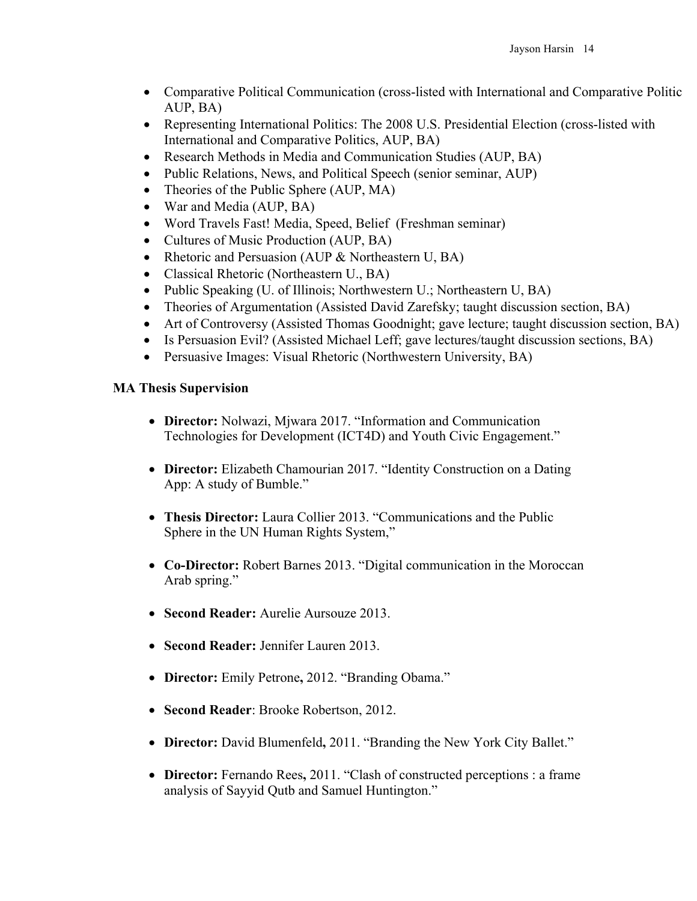- Comparative Political Communication (cross-listed with International and Comparative Politic AUP, BA)
- Representing International Politics: The 2008 U.S. Presidential Election (cross-listed with International and Comparative Politics, AUP, BA)
- Research Methods in Media and Communication Studies (AUP, BA)
- Public Relations, News, and Political Speech (senior seminar, AUP)
- Theories of the Public Sphere (AUP, MA)
- War and Media (AUP, BA)
- Word Travels Fast! Media, Speed, Belief (Freshman seminar)
- Cultures of Music Production (AUP, BA)
- Rhetoric and Persuasion (AUP & Northeastern U, BA)
- Classical Rhetoric (Northeastern U., BA)
- Public Speaking (U. of Illinois; Northwestern U.; Northeastern U, BA)
- Theories of Argumentation (Assisted David Zarefsky; taught discussion section, BA)
- Art of Controversy (Assisted Thomas Goodnight; gave lecture; taught discussion section, BA)
- Is Persuasion Evil? (Assisted Michael Leff; gave lectures/taught discussion sections, BA)
- Persuasive Images: Visual Rhetoric (Northwestern University, BA)

# **MA Thesis Supervision**

- **Director:** Nolwazi, Mjwara 2017. "Information and Communication Technologies for Development (ICT4D) and Youth Civic Engagement."
- **Director:** Elizabeth Chamourian 2017. "Identity Construction on a Dating App: A study of Bumble."
- **Thesis Director:** Laura Collier 2013. "Communications and the Public Sphere in the UN Human Rights System,"
- **Co-Director:** Robert Barnes 2013. "Digital communication in the Moroccan Arab spring."
- **Second Reader:** Aurelie Aursouze 2013.
- **Second Reader:** Jennifer Lauren 2013.
- **Director:** Emily Petrone**,** 2012. "Branding Obama."
- **Second Reader**: Brooke Robertson, 2012.
- **Director:** David Blumenfeld**,** 2011. "Branding the New York City Ballet."
- **Director:** Fernando Rees**,** 2011. "Clash of constructed perceptions : a frame analysis of Sayyid Qutb and Samuel Huntington."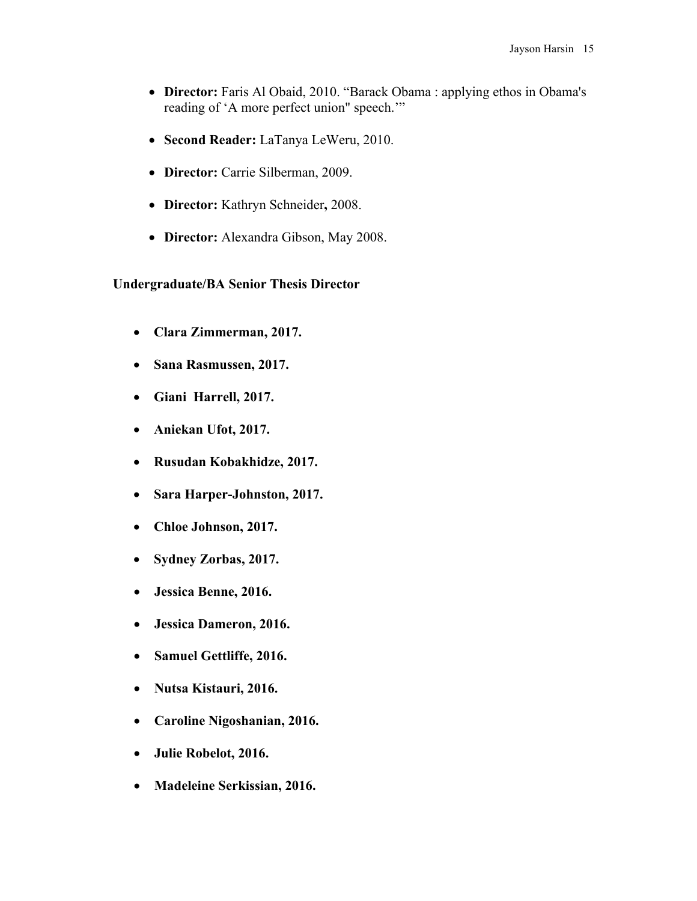- **Director:** Faris Al Obaid, 2010. "Barack Obama: applying ethos in Obama's reading of 'A more perfect union" speech.'"
- **Second Reader:** LaTanya LeWeru, 2010.
- **Director:** Carrie Silberman, 2009.
- **Director:** Kathryn Schneider**,** 2008.
- **Director:** Alexandra Gibson, May 2008.

## **Undergraduate/BA Senior Thesis Director**

- **Clara Zimmerman, 2017.**
- **Sana Rasmussen, 2017.**
- **Giani Harrell, 2017.**
- **Aniekan Ufot, 2017.**
- **Rusudan Kobakhidze, 2017.**
- **Sara Harper-Johnston, 2017.**
- **Chloe Johnson, 2017.**
- **Sydney Zorbas, 2017.**
- **Jessica Benne, 2016.**
- **Jessica Dameron, 2016.**
- **Samuel Gettliffe, 2016.**
- **Nutsa Kistauri, 2016.**
- **Caroline Nigoshanian, 2016.**
- **Julie Robelot, 2016.**
- **Madeleine Serkissian, 2016.**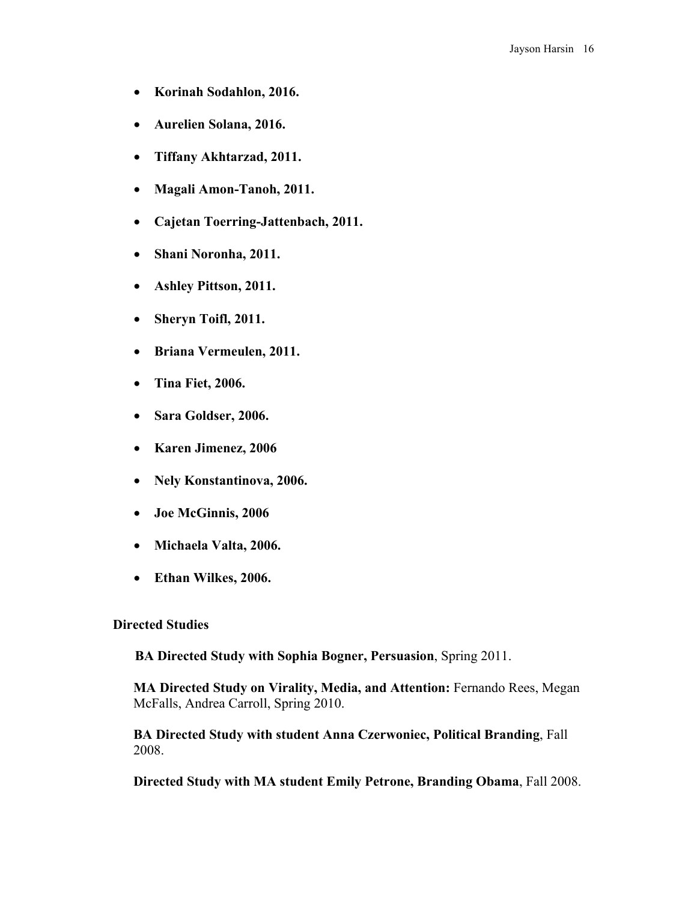- **Korinah Sodahlon, 2016.**
- **Aurelien Solana, 2016.**
- **Tiffany Akhtarzad, 2011.**
- **Magali Amon-Tanoh, 2011.**
- **Cajetan Toerring-Jattenbach, 2011.**
- **Shani Noronha, 2011.**
- **Ashley Pittson, 2011.**
- **Sheryn Toifl, 2011.**
- **Briana Vermeulen, 2011.**
- **Tina Fiet, 2006.**
- **Sara Goldser, 2006.**
- **Karen Jimenez, 2006**
- **Nely Konstantinova, 2006.**
- **Joe McGinnis, 2006**
- **Michaela Valta, 2006.**
- **Ethan Wilkes, 2006.**

#### **Directed Studies**

**BA Directed Study with Sophia Bogner, Persuasion**, Spring 2011.

**MA Directed Study on Virality, Media, and Attention:** Fernando Rees, Megan McFalls, Andrea Carroll, Spring 2010.

**BA Directed Study with student Anna Czerwoniec, Political Branding**, Fall 2008.

**Directed Study with MA student Emily Petrone, Branding Obama**, Fall 2008.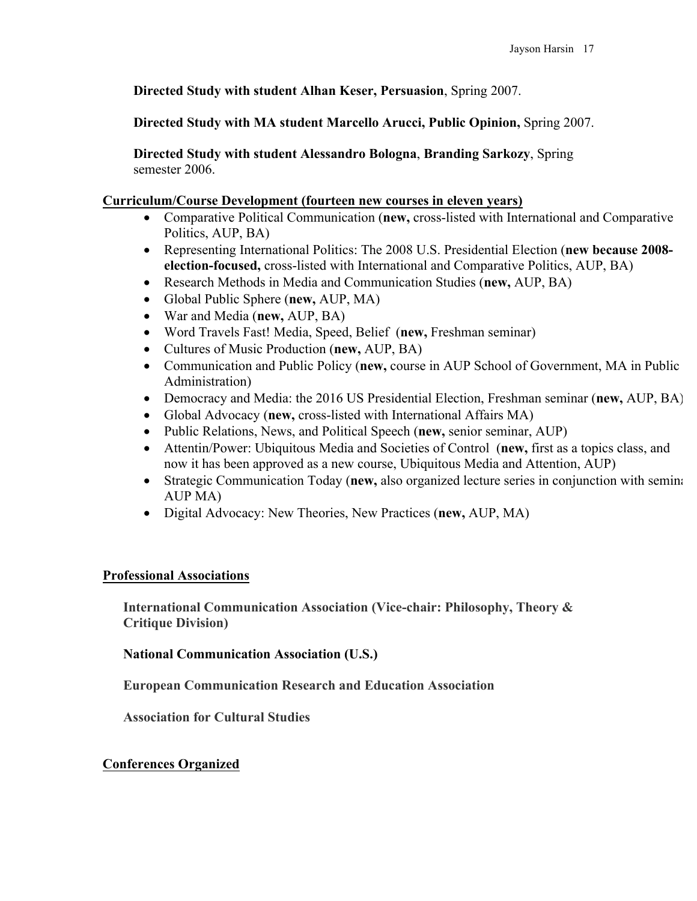**Directed Study with student Alhan Keser, Persuasion**, Spring 2007.

**Directed Study with MA student Marcello Arucci, Public Opinion,** Spring 2007.

**Directed Study with student Alessandro Bologna**, **Branding Sarkozy**, Spring semester 2006.

## **Curriculum/Course Development (fourteen new courses in eleven years)**

- Comparative Political Communication (**new,** cross-listed with International and Comparative Politics, AUP, BA)
- Representing International Politics: The 2008 U.S. Presidential Election (**new because 2008 election-focused,** cross-listed with International and Comparative Politics, AUP, BA)
- Research Methods in Media and Communication Studies (**new,** AUP, BA)
- Global Public Sphere (**new,** AUP, MA)
- War and Media (**new,** AUP, BA)
- Word Travels Fast! Media, Speed, Belief (**new,** Freshman seminar)
- Cultures of Music Production (**new,** AUP, BA)
- Communication and Public Policy (**new,** course in AUP School of Government, MA in Public Administration)
- Democracy and Media: the 2016 US Presidential Election, Freshman seminar (**new,** AUP, BA)
- Global Advocacy (**new,** cross-listed with International Affairs MA)
- Public Relations, News, and Political Speech (**new,** senior seminar, AUP)
- Attentin/Power: Ubiquitous Media and Societies of Control (**new,** first as a topics class, and now it has been approved as a new course, Ubiquitous Media and Attention, AUP)
- Strategic Communication Today (new, also organized lecture series in conjunction with seminarity AUP MA)
- Digital Advocacy: New Theories, New Practices (**new,** AUP, MA)

# **Professional Associations**

**International Communication Association (Vice-chair: Philosophy, Theory & Critique Division)**

**National Communication Association (U.S.)**

**European Communication Research and Education Association**

**Association for Cultural Studies**

# **Conferences Organized**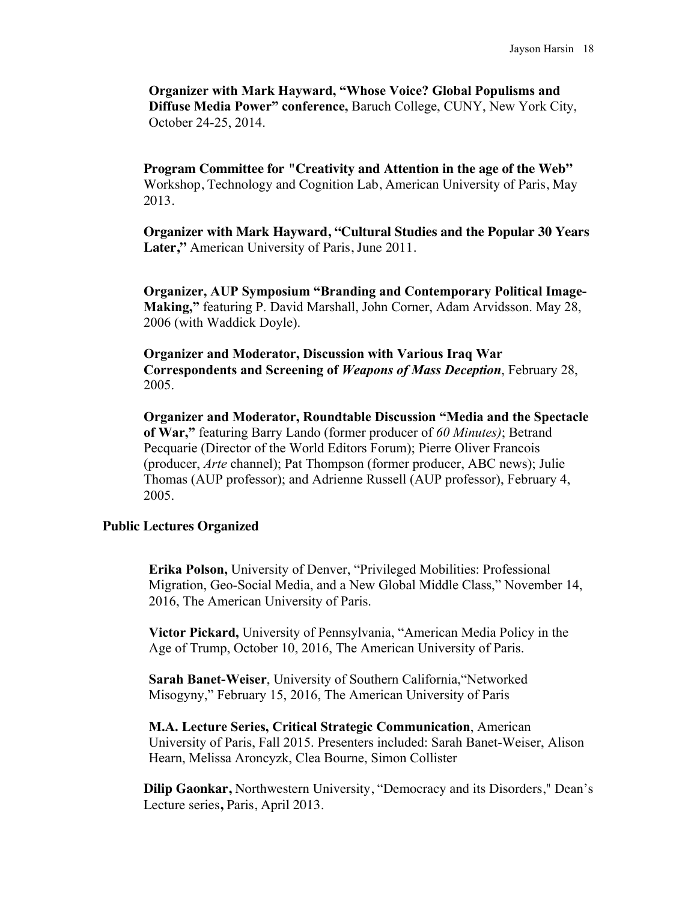**Organizer with Mark Hayward, "Whose Voice? Global Populisms and Diffuse Media Power" conference,** Baruch College, CUNY, New York City, October 24-25, 2014.

**Program Committee for "Creativity and Attention in the age of the Web"**  Workshop, Technology and Cognition Lab, American University of Paris, May 2013.

**Organizer with Mark Hayward, "Cultural Studies and the Popular 30 Years Later,"** American University of Paris, June 2011.

**Organizer, AUP Symposium "Branding and Contemporary Political Image-Making,"** featuring P. David Marshall, John Corner, Adam Arvidsson. May 28, 2006 (with Waddick Doyle).

**Organizer and Moderator, Discussion with Various Iraq War Correspondents and Screening of** *Weapons of Mass Deception*, February 28, 2005.

**Organizer and Moderator, Roundtable Discussion "Media and the Spectacle of War,"** featuring Barry Lando (former producer of *60 Minutes)*; Betrand Pecquarie (Director of the World Editors Forum); Pierre Oliver Francois (producer, *Arte* channel); Pat Thompson (former producer, ABC news); Julie Thomas (AUP professor); and Adrienne Russell (AUP professor), February 4, 2005.

### **Public Lectures Organized**

**Erika Polson,** University of Denver, "Privileged Mobilities: Professional Migration, Geo-Social Media, and a New Global Middle Class," November 14, 2016, The American University of Paris.

**Victor Pickard,** University of Pennsylvania, "American Media Policy in the Age of Trump, October 10, 2016, The American University of Paris.

**Sarah Banet-Weiser**, University of Southern California,"Networked Misogyny," February 15, 2016, The American University of Paris

**M.A. Lecture Series, Critical Strategic Communication**, American University of Paris, Fall 2015. Presenters included: Sarah Banet-Weiser, Alison Hearn, Melissa Aroncyzk, Clea Bourne, Simon Collister

**Dilip Gaonkar,** Northwestern University, "Democracy and its Disorders," Dean's Lecture series**,** Paris, April 2013.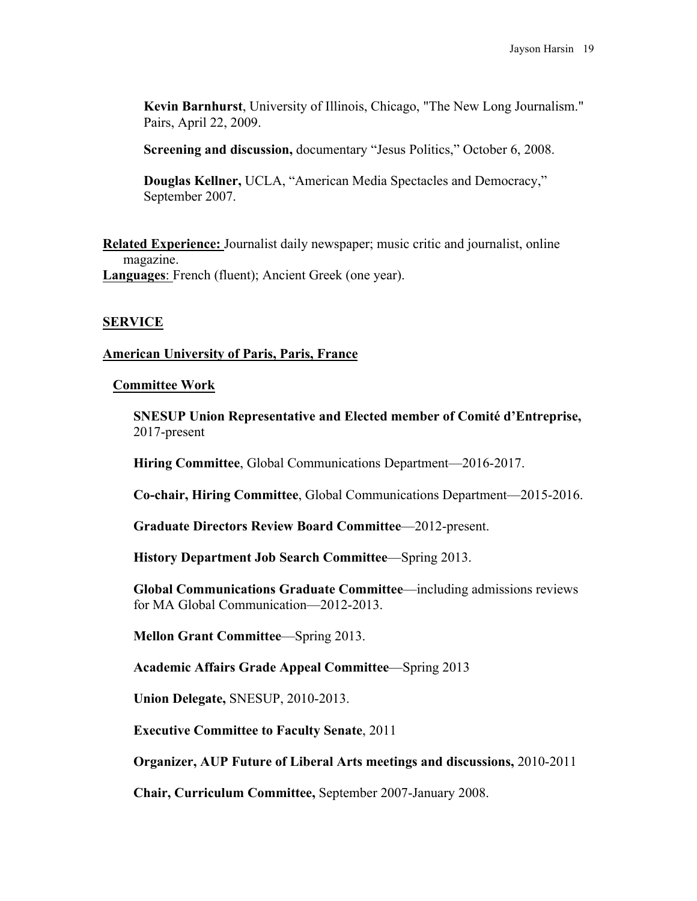**Kevin Barnhurst**, University of Illinois, Chicago, "The New Long Journalism." Pairs, April 22, 2009.

**Screening and discussion,** documentary "Jesus Politics," October 6, 2008.

**Douglas Kellner,** UCLA, "American Media Spectacles and Democracy," September 2007.

**Related Experience:** Journalist daily newspaper; music critic and journalist, online magazine. **Languages**: French (fluent); Ancient Greek (one year).

# **SERVICE**

# **American University of Paris, Paris, France**

## **Committee Work**

**SNESUP Union Representative and Elected member of Comité d'Entreprise,**  2017-present

**Hiring Committee**, Global Communications Department—2016-2017.

**Co-chair, Hiring Committee**, Global Communications Department—2015-2016.

**Graduate Directors Review Board Committee**—2012-present.

**History Department Job Search Committee**—Spring 2013.

**Global Communications Graduate Committee**—including admissions reviews for MA Global Communication—2012-2013.

**Mellon Grant Committee**—Spring 2013.

**Academic Affairs Grade Appeal Committee**—Spring 2013

**Union Delegate,** SNESUP, 2010-2013.

**Executive Committee to Faculty Senate**, 2011

**Organizer, AUP Future of Liberal Arts meetings and discussions,** 2010-2011

**Chair, Curriculum Committee,** September 2007-January 2008.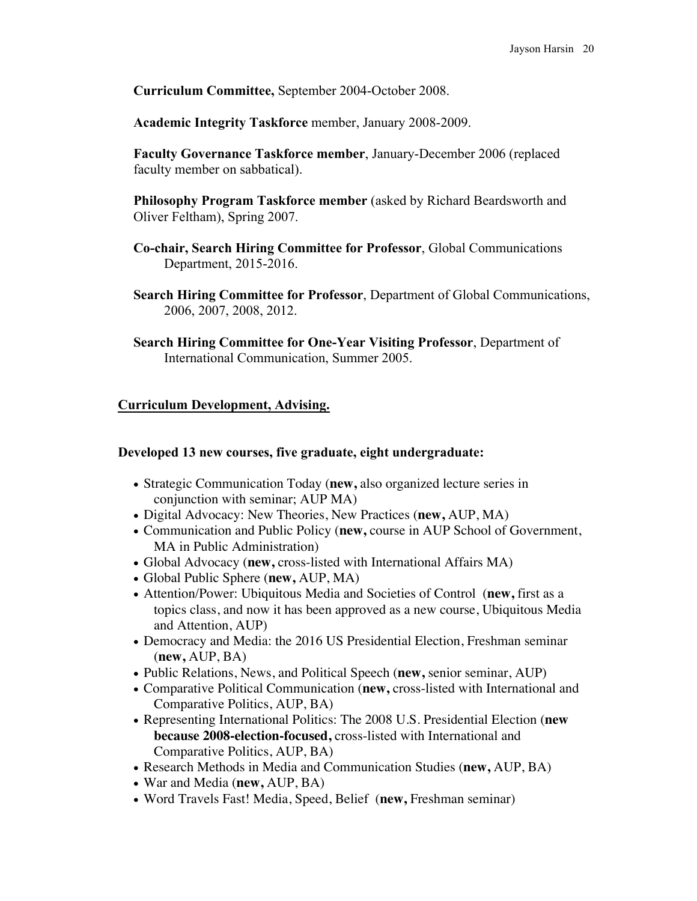**Curriculum Committee,** September 2004-October 2008.

**Academic Integrity Taskforce** member, January 2008-2009.

**Faculty Governance Taskforce member**, January-December 2006 (replaced faculty member on sabbatical).

**Philosophy Program Taskforce member** (asked by Richard Beardsworth and Oliver Feltham), Spring 2007.

- **Co-chair, Search Hiring Committee for Professor**, Global Communications Department, 2015-2016.
- **Search Hiring Committee for Professor**, Department of Global Communications, 2006, 2007, 2008, 2012.
- **Search Hiring Committee for One-Year Visiting Professor**, Department of International Communication, Summer 2005.

## **Curriculum Development, Advising.**

### **Developed 13 new courses, five graduate, eight undergraduate:**

- Strategic Communication Today (**new,** also organized lecture series in conjunction with seminar; AUP MA)
- Digital Advocacy: New Theories, New Practices (**new,** AUP, MA)
- Communication and Public Policy (**new,** course in AUP School of Government, MA in Public Administration)
- Global Advocacy (**new,** cross-listed with International Affairs MA)
- Global Public Sphere (**new,** AUP, MA)
- Attention/Power: Ubiquitous Media and Societies of Control (**new,** first as a topics class, and now it has been approved as a new course, Ubiquitous Media and Attention, AUP)
- Democracy and Media: the 2016 US Presidential Election, Freshman seminar (**new,** AUP, BA)
- Public Relations, News, and Political Speech (**new,** senior seminar, AUP)
- Comparative Political Communication (**new,** cross-listed with International and Comparative Politics, AUP, BA)
- Representing International Politics: The 2008 U.S. Presidential Election (**new because 2008-election-focused,** cross-listed with International and Comparative Politics, AUP, BA)
- Research Methods in Media and Communication Studies (**new,** AUP, BA)
- War and Media (**new,** AUP, BA)
- Word Travels Fast! Media, Speed, Belief (**new,** Freshman seminar)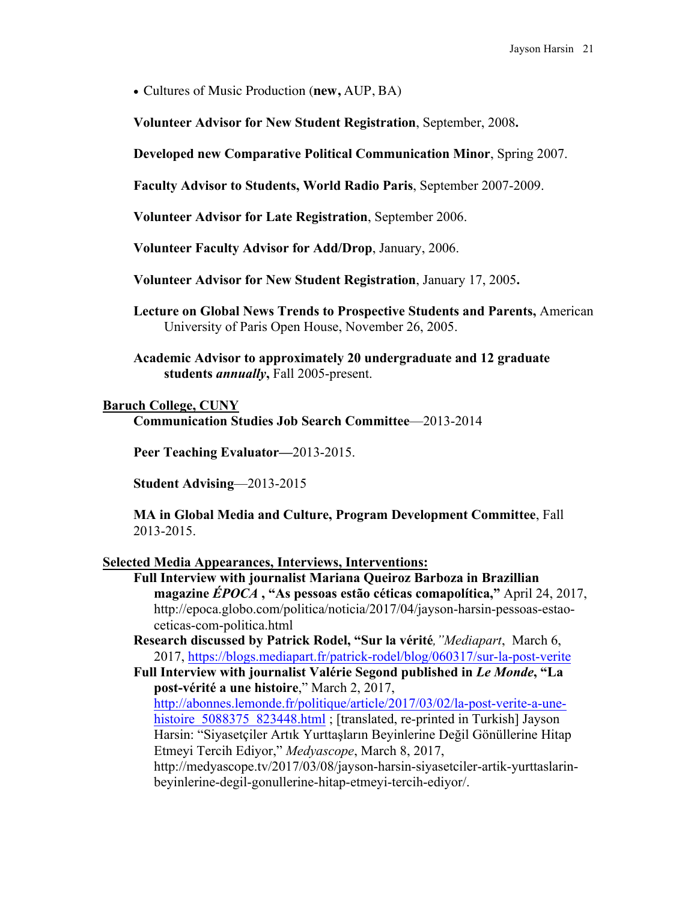• Cultures of Music Production (**new,** AUP, BA)

**Volunteer Advisor for New Student Registration**, September, 2008**.**

**Developed new Comparative Political Communication Minor**, Spring 2007.

**Faculty Advisor to Students, World Radio Paris**, September 2007-2009.

**Volunteer Advisor for Late Registration**, September 2006.

**Volunteer Faculty Advisor for Add/Drop**, January, 2006.

**Volunteer Advisor for New Student Registration**, January 17, 2005**.**

- **Lecture on Global News Trends to Prospective Students and Parents,** American University of Paris Open House, November 26, 2005.
- **Academic Advisor to approximately 20 undergraduate and 12 graduate students** *annually***,** Fall 2005-present.

## **Baruch College, CUNY**

**Communication Studies Job Search Committee**—2013-2014

**Peer Teaching Evaluator—**2013-2015.

**Student Advising**—2013-2015

**MA in Global Media and Culture, Program Development Committee**, Fall 2013-2015.

## **Selected Media Appearances, Interviews, Interventions:**

**Full Interview with journalist Mariana Queiroz Barboza in Brazillian magazine** *ÉPOCA* **, "As pessoas estão céticas comapolítica,"** April 24, 2017, http://epoca.globo.com/politica/noticia/2017/04/jayson-harsin-pessoas-estaoceticas-com-politica.html

**Research discussed by Patrick Rodel, "Sur la vérité***,"Mediapart*, March 6, 2017, https://blogs.mediapart.fr/patrick-rodel/blog/060317/sur-la-post-verite

**Full Interview with journalist Valérie Segond published in** *Le Monde***, "La post-vérité a une histoire**," March 2, 2017,

http://abonnes.lemonde.fr/politique/article/2017/03/02/la-post-verite-a-unehistoire 5088375 823448.html ; [translated, re-printed in Turkish] Jayson Harsin: "Siyasetçiler Artık Yurttaşların Beyinlerine Değil Gönüllerine Hitap Etmeyi Tercih Ediyor," *Medyascope*, March 8, 2017,

http://medyascope.tv/2017/03/08/jayson-harsin-siyasetciler-artik-yurttaslarinbeyinlerine-degil-gonullerine-hitap-etmeyi-tercih-ediyor/.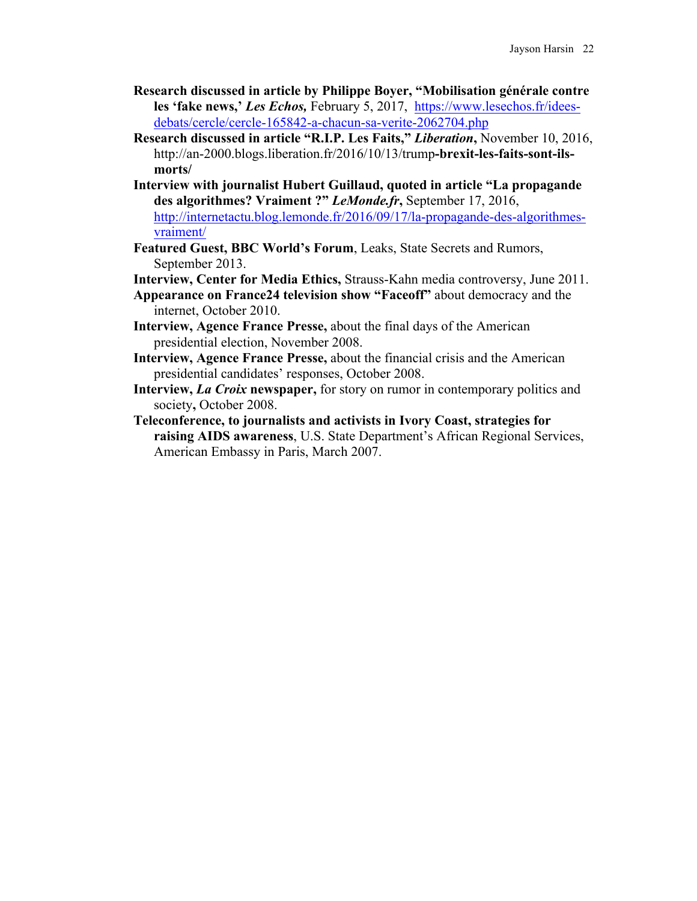- **Research discussed in article by Philippe Boyer, "Mobilisation générale contre les 'fake news,'** *Les Echos,* February 5, 2017, https://www.lesechos.fr/ideesdebats/cercle/cercle-165842-a-chacun-sa-verite-2062704.php
- **Research discussed in article "R.I.P. Les Faits,"** *Liberation***,** November 10, 2016, http://an-2000.blogs.liberation.fr/2016/10/13/trump**-brexit-les-faits-sont-ilsmorts/**
- **Interview with journalist Hubert Guillaud, quoted in article "La propagande des algorithmes? Vraiment ?"** *LeMonde.fr***,** September 17, 2016, http://internetactu.blog.lemonde.fr/2016/09/17/la-propagande-des-algorithmesvraiment/
- **Featured Guest, BBC World's Forum**, Leaks, State Secrets and Rumors, September 2013.
- **Interview, Center for Media Ethics,** Strauss-Kahn media controversy, June 2011.
- **Appearance on France24 television show "Faceoff"** about democracy and the internet, October 2010.
- **Interview, Agence France Presse,** about the final days of the American presidential election, November 2008.
- **Interview, Agence France Presse,** about the financial crisis and the American presidential candidates' responses, October 2008.
- **Interview,** *La Croix* **newspaper,** for story on rumor in contemporary politics and society**,** October 2008.
- **Teleconference, to journalists and activists in Ivory Coast, strategies for raising AIDS awareness**, U.S. State Department's African Regional Services, American Embassy in Paris, March 2007.